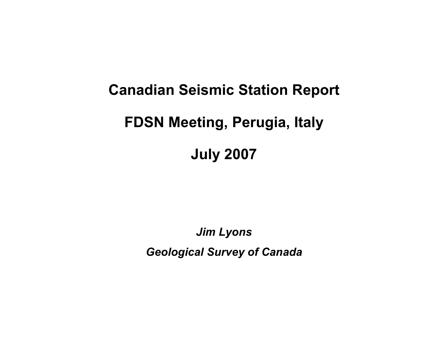# **Canadian Seismic Station Report FDSN Meeting, Perugia, Italy**

# **July 2007**

*Jim Lyons Geological Survey of Canada*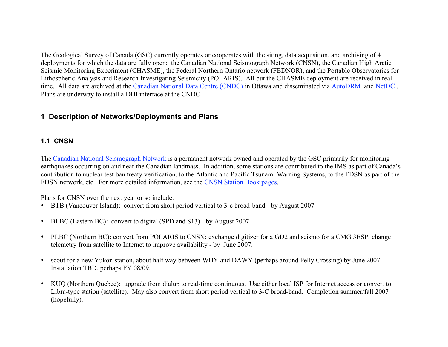The Geological Survey of Canada (GSC) currently operates or cooperates with the siting, data acquisition, and archiving of 4 deployments for which the data are fully open: the Canadian National Seismograph Network (CNSN), the Canadian High Arctic Seismic Monitoring Experiment (CHASME), the Federal Northern Ontario network (FEDNOR), and the Portable Observatories for Lithospheric Analysis and Research Investigating Seismicity (POLARIS). All but the CHASME deployment are received in real time. All data are archived at the Canadian National Data Centre (CNDC) in Ottawa and disseminated via AutoDRM and NetDC . Plans are underway to install a DHI interface at the CNDC.

#### **1 Description of Networks/Deployments and Plans**

#### **1.1 CNSN**

The Canadian National Seismograph Network is a permanent network owned and operated by the GSC primarily for monitoring earthquakes occurring on and near the Canadian landmass. In addition, some stations are contributed to the IMS as part of Canada's contribution to nuclear test ban treaty verification, to the Atlantic and Pacific Tsunami Warning Systems, to the FDSN as part of the FDSN network, etc. For more detailed information, see the CNSN Station Book pages.

Plans for CNSN over the next year or so include:

- BTB (Vancouver Island): convert from short period vertical to 3-c broad-band by August 2007
- BLBC (Eastern BC): convert to digital (SPD and S13) by August 2007
- PLBC (Northern BC): convert from POLARIS to CNSN; exchange digitizer for a GD2 and seismo for a CMG 3ESP; change telemetry from satellite to Internet to improve availability - by June 2007.
- scout for a new Yukon station, about half way between WHY and DAWY (perhaps around Pelly Crossing) by June 2007. Installation TBD, perhaps FY 08/09.
- KUQ (Northern Quebec): upgrade from dialup to real-time continuous. Use either local ISP for Internet access or convert to Libra-type station (satellite). May also convert from short period vertical to 3-C broad-band. Completion summer/fall 2007 (hopefully).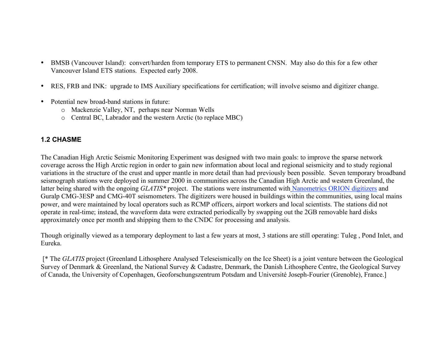- BMSB (Vancouver Island): convert/harden from temporary ETS to permanent CNSN. May also do this for a few other Vancouver Island ETS stations. Expected early 2008.
- RES, FRB and INK: upgrade to IMS Auxiliary specifications for certification; will involve seismo and digitizer change.
- Potential new broad-band stations in future:
	- o Mackenzie Valley, NT, perhaps near Norman Wells
	- o Central BC, Labrador and the western Arctic (to replace MBC)

#### **1.2 CHASME**

The Canadian High Arctic Seismic Monitoring Experiment was designed with two main goals: to improve the sparse network coverage across the High Arctic region in order to gain new information about local and regional seismicity and to study regional variations in the structure of the crust and upper mantle in more detail than had previously been possible. Seven temporary broadband seismograph stations were deployed in summer 2000 in communities across the Canadian High Arctic and western Greenland, the latter being shared with the ongoing *GLATIS\** project. The stations were instrumented with Nanometrics ORION digitizers and Guralp CMG-3ESP and CMG-40T seismometers. The digitizers were housed in buildings within the communities, using local mains power, and were maintained by local operators such as RCMP officers, airport workers and local scientists. The stations did not operate in real-time; instead, the waveform data were extracted periodically by swapping out the 2GB removable hard disks approximately once per month and shipping them to the CNDC for processing and analysis.

Though originally viewed as a temporary deployment to last a few years at most, 3 stations are still operating: Tuleg , Pond Inlet, and Eureka.

[\* The *GLATIS* project (Greenland Lithosphere Analysed Teleseismically on the Ice Sheet) is a joint venture between the Geological Survey of Denmark & Greenland, the National Survey & Cadastre, Denmark, the Danish Lithosphere Centre, the Geological Survey of Canada, the University of Copenhagen, Geoforschungszentrum Potsdam and Université Joseph-Fourier (Grenoble), France.]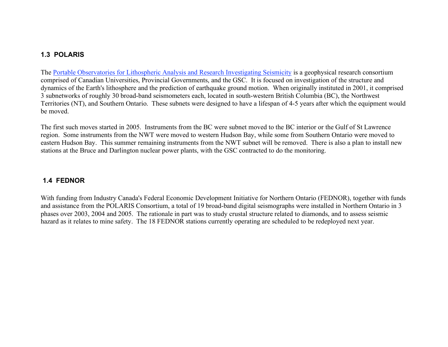#### **1.3 POLARIS**

The Portable Observatories for Lithospheric Analysis and Research Investigating Seismicity is a geophysical research consortium comprised of Canadian Universities, Provincial Governments, and the GSC. It is focused on investigation of the structure and dynamics of the Earth's lithosphere and the prediction of earthquake ground motion. When originally instituted in 2001, it comprised 3 subnetworks of roughly 30 broad-band seismometers each, located in south-western British Columbia (BC), the Northwest Territories (NT), and Southern Ontario. These subnets were designed to have a lifespan of 4-5 years after which the equipment would be moved.

The first such moves started in 2005. Instruments from the BC were subnet moved to the BC interior or the Gulf of St Lawrence region. Some instruments from the NWT were moved to western Hudson Bay, while some from Southern Ontario were moved to eastern Hudson Bay. This summer remaining instruments from the NWT subnet will be removed. There is also a plan to install new stations at the Bruce and Darlington nuclear power plants, with the GSC contracted to do the monitoring.

#### **1.4 FEDNOR**

With funding from Industry Canada's Federal Economic Development Initiative for Northern Ontario (FEDNOR), together with funds and assistance from the POLARIS Consortium, a total of 19 broad-band digital seismographs were installed in Northern Ontario in 3 phases over 2003, 2004 and 2005. The rationale in part was to study crustal structure related to diamonds, and to assess seismic hazard as it relates to mine safety. The 18 FEDNOR stations currently operating are scheduled to be redeployed next year.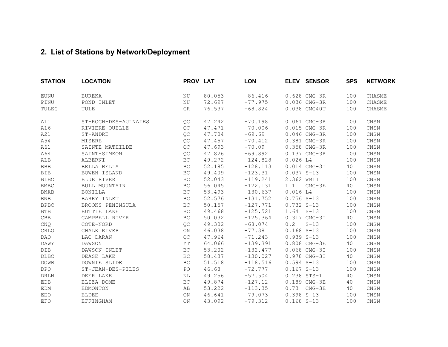### **2. List of Stations by Network/Deployment**

| <b>STATION</b> | <b>LOCATION</b>      | PROV LAT            |        | <b>LON</b> |               | ELEV SENSOR   | <b>SPS</b> | <b>NETWORK</b>           |
|----------------|----------------------|---------------------|--------|------------|---------------|---------------|------------|--------------------------|
| <b>EUNU</b>    | EUREKA               | NU                  | 80.053 | $-86.416$  |               | 0.628 CMG-3R  | 100        | CHASME                   |
| PINU           | POND INLET           | NU                  | 72.697 | $-77.975$  |               | 0.036 CMG-3R  | 100        | CHASME                   |
| TULEG          | TULE                 | <b>GR</b>           | 76.537 | $-68.824$  |               | 0.038 CMG40T  | 100        | CHASME                   |
| A11            | ST-ROCH-DES-AULNAIES | QC                  | 47.242 | $-70.198$  |               | 0.061 CMG-3R  | 100        | $\mathop{\mathsf{CNSN}}$ |
| A16            | RIVIERE OUELLE       | QC                  | 47.471 | $-70.006$  |               | 0.015 CMG-3R  | 100        | CNSN                     |
| A21            | ST-ANDRE             | QC                  | 47.704 | $-69.69$   |               | 0.046 CMG-3R  | 100        | $\mathop{\mathsf{CNSN}}$ |
| A54            | MISERE               | QC                  | 47.457 | $-70.412$  |               | 0.381 CMG-3R  | 100        | $\mathop{\mathsf{CNSN}}$ |
| A61            | SAINTE MATHILDE      | QC                  | 47.693 | $-70.09$   |               | 0.358 CMG-3R  | 100        | CNSN                     |
| A64            | SAINT-SIMEON         | QC                  | 47.826 | $-69.892$  |               | 0.137 CMG-3R  | 100        | CNSN                     |
| ALB            | ALBERNI              | BC                  | 49.272 | $-124.828$ | $0.026$ L4    |               | 100        | CNSN                     |
| <b>BBB</b>     | BELLA BELLA          | <b>BC</b>           | 52.185 | $-128.113$ |               | 0.014 CMG-3I  | 40         | CNSN                     |
| <b>BIB</b>     | BOWEN ISLAND         | BC                  | 49.409 | $-123.31$  | $0.037 S-13$  |               | 100        | $\mathop{\mathsf{CNSN}}$ |
| $_{\rm{BLBC}}$ | BLUE RIVER           | $\operatorname{BC}$ | 52.043 | $-119.241$ | 2.362 WMII    |               | 100        | $\mathop{\mathsf{CNSN}}$ |
| <b>BMBC</b>    | BULL MOUNTAIN        | BC                  | 56.045 | $-122.131$ | 1.1           | $CMG-3E$      | 40         | $\mathop{\mathsf{CNSN}}$ |
| <b>BNAB</b>    | BONILLA              | BC                  | 53.493 | $-130.637$ | $0.016$ L4    |               | 100        | $\mathop{\mathsf{CNSN}}$ |
| <b>BNB</b>     | BARRY INLET          | $\operatorname{BC}$ | 52.576 | $-131.752$ | $0.756 S-13$  |               | 100        | CNSN                     |
| <b>BPBC</b>    | BROOKS PENINSULA     | BC                  | 50.157 | $-127.771$ | $0.732 S-13$  |               | 100        | CNSN                     |
| <b>BTB</b>     | BUTTLE LAKE          | BC                  | 49.468 | $-125.521$ | $1.64$ $S-13$ |               | 100        | CNSN                     |
| CBB            | CAMPBELL RIVER       | BC                  | 50.032 | $-125.364$ |               | 0.317 CMG-3I  | 40         | $\mathop{\mathsf{CNSN}}$ |
| CNQ            | COTE-NORD            | QC                  | 49.302 | $-68.074$  | 0.2           | $S-13$        | 100        | CNSN                     |
| CRLO           | CHALK RIVER          | ON                  | 46.038 | $-77.38$   | $0.168 S-13$  |               | 100        | $\mathop{\mathsf{CNSN}}$ |
| <b>DAQ</b>     | LAC DARAN            | QC                  | 47.964 | $-71.243$  | $0.939 S-13$  |               | 100        | $\mathop{\mathsf{CNSN}}$ |
| <b>DAWY</b>    | DAWSON               | ΥT                  | 64.066 | $-139.391$ |               | 0.808 CMG-3E  | 40         | $\mathop{\mathsf{CNSN}}$ |
| DIB            | DAWSON INLET         | BC                  | 53.202 | $-132.477$ |               | 0.068 CMG-3I  | 100        | $\mathop{\mathsf{CNSN}}$ |
| DLBC           | DEASE LAKE           | $\operatorname{BC}$ | 58.437 | $-130.027$ |               | 0.978 CMG-3I  | 40         | CNSN                     |
| <b>DOWB</b>    | DOWNIE SLIDE         | <b>BC</b>           | 51.518 | $-118.516$ | $0.594 S-13$  |               | 100        | CNSN                     |
| <b>DPO</b>     | ST-JEAN-DES-PILES    | PQ                  | 46.68  | $-72.777$  | $0.167 S-13$  |               | 100        | CNSN                     |
| <b>DRLN</b>    | DEER LAKE            | NL                  | 49.256 | $-57.504$  |               | 0.238 STS-1   | 40         | CNSN                     |
| <b>EDB</b>     | ELIZA DOME           | <b>BC</b>           | 49.874 | $-127.12$  |               | 0.189 CMG-3E  | 40         | CNSN                     |
| EDM            | EDMONTON             | AB                  | 53.222 | $-113.35$  |               | $0.73$ CMG-3E | 40         | $\mathop{\mathsf{CNSN}}$ |
| EEO            | <b>ELDEE</b>         | ON                  | 46.641 | $-79.073$  | $0.398 S-13$  |               | 100        | CNSN                     |
| EFO            | EFFINGHAM            | ON                  | 43.092 | $-79.312$  | $0.168 S-13$  |               | 100        | CNSN                     |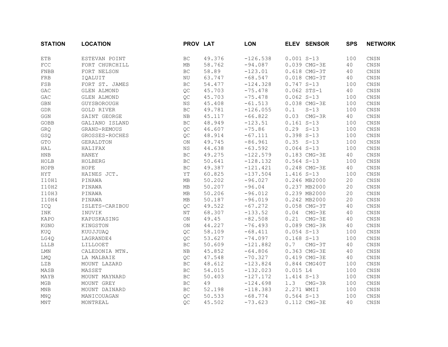| <b>STATION</b>              | <b>LOCATION</b> | PROV LAT            |        | <b>LON</b> |               | ELEV SENSOR   | <b>SPS</b> | <b>NETWORK</b>           |
|-----------------------------|-----------------|---------------------|--------|------------|---------------|---------------|------------|--------------------------|
| <b>ETB</b>                  | ESTEVAN POINT   | ВC                  | 49.376 | $-126.538$ | $0.001 S-13$  |               | 100        | CNSN                     |
| ${\tt FCC}$                 | FORT CHURCHILL  | MB                  | 58.762 | $-94.087$  |               | 0.039 CMG-3E  | 40         | $\mathop{\mathsf{CNSN}}$ |
| FNBB                        | FORT NELSON     | BC                  | 58.89  | $-123.01$  |               | 0.618 CMG-3T  | 40         | CNSN                     |
| FRB                         | IOALUIT         | NU                  | 63.747 | $-68.547$  |               | 0.018 CMG-3T  | 40         | CNSN                     |
| $_{\rm FSB}$                | FORT ST. JAMES  | BC                  | 54.477 | $-124.328$ | $0.747 S-13$  |               | 100        | $\mathop{\mathsf{CNSN}}$ |
| ${\tt GAC}$                 | GLEN ALMOND     | QC                  | 45.703 | $-75.478$  |               | $0.062$ STS-1 | 40         | $\mathop{\mathsf{CNSN}}$ |
| ${\tt GAC}$                 | GLEN ALMOND     | QC                  | 45.703 | $-75.478$  | $0.062 S-13$  |               | 100        | $\mathop{\mathsf{CNSN}}$ |
| $\operatorname{GBN}$        | GUYSBOROUGH     | $_{\rm NS}$         | 45.408 | $-61.513$  |               | 0.038 CMG-3E  | 100        | $\mathop{\mathsf{CNSN}}$ |
| ${\tt GDR}$                 | GOLD RIVER      | <b>BC</b>           | 49.781 | $-126.055$ | 0.1           | $S-13$        | 100        | CNSN                     |
| GGN                         | SAINT GEORGE    | NB                  | 45.117 | $-66.822$  | 0.03          | $CMG-3R$      | 40         | CNSN                     |
| GOBB                        | GALIANO ISLAND  | BC                  | 48.949 | $-123.51$  | $0.161 S-13$  |               | 100        | CNSN                     |
| GRQ                         | GRAND-REMOUS    | QC                  | 46.607 | $-75.86$   | $0.29 S-13$   |               | 100        | $\mathop{\mathsf{CNSN}}$ |
| GSQ                         | GROSSES-ROCHES  | QC                  | 48.914 | $-67.111$  | $0.398 S-13$  |               | 100        | $\mathop{\mathsf{CNSN}}$ |
| $\operatorname{GTO}$        | GERALDTON       | $\mathop{\rm ON}$   | 49.745 | $-86.961$  | $0.35 S - 13$ |               | 100        | CNSN                     |
| HAL                         | HALIFAX         | $_{\rm NS}$         | 44.638 | $-63.592$  | $0.064 S-13$  |               | 100        | $\mathop{\mathsf{CNSN}}$ |
| ${\tt HNB}$                 | HANEY           | $\operatorname{BC}$ | 49.275 | $-122.579$ |               | 0.183 CMG-3E  | 40         | CNSN                     |
| HOLB                        | HOLBERG         | BC                  | 50.641 | $-128.132$ | $0.564 S-13$  |               | 100        | CNSN                     |
| HOPB                        | HOPE            | BC                  | 49.387 | $-121.421$ |               | 0.248 CMG-3E  | 40         | CNSN                     |
| ${\rm HYT}$                 | HAINES JCT.     | ΥT                  | 60.825 | $-137.504$ | 1.416 S-13    |               | 100        | $\mathop{\mathsf{CNSN}}$ |
| I10H1                       | PINAWA          | МB                  | 50.202 | $-96.027$  |               | 0.246 MB2000  | 20         | $\mathop{\mathsf{CNSN}}$ |
| I10H2                       | PINAWA          | MB                  | 50.207 | $-96.04$   |               | 0.237 MB2000  | 20         | CNSN                     |
| I10H3                       | PINAWA          | MB                  | 50.206 | $-96.012$  |               | 0.239 MB2000  | 20         | $\mathop{\mathsf{CNSN}}$ |
| I10H4                       | PINAWA          | $\rm MB$            | 50.187 | $-96.019$  |               | 0.242 MB2000  | 20         | CNSN                     |
| ICQ                         | ISLETS-CARIBOU  | QC                  | 49.522 | $-67.272$  |               | 0.058 CMG-3T  | 40         | CNSN                     |
| INK                         | INUVIK          | NΤ                  | 68.307 | $-133.52$  | 0.04          | $CMG-3E$      | 40         | CNSN                     |
| KAPO                        | KAPUSKASING     | ON                  | 49.45  | $-82.508$  | 0.21          | $CMG-3E$      | 40         | $\mathop{\mathsf{CNSN}}$ |
| KGNO                        | KINGSTON        | $\mathop{\rm ON}$   | 44.227 | $-76.493$  |               | 0.089 CMG-3R  | 40         | $\mathop{\mathsf{CNSN}}$ |
| KUQ                         | KUUJJUAQ        | QC                  | 58.109 | $-68.411$  | $0.054 S-13$  |               | 100        | $\mathop{\mathsf{CNSN}}$ |
| LG4Q                        | LAGRANDE4       | QC                  | 53.627 | $-74.097$  | $0.168 S-13$  |               | 100        | $\mathop{\mathsf{CNSN}}$ |
| LLLB                        | LILLOOET        | $\operatorname{BC}$ | 50.609 | $-121.882$ | 0.7           | $CMG-3T$      | 40         | $\mathop{\mathsf{CNSN}}$ |
| LMN                         | CALEDONIA MTN.  | NB                  | 45.852 | $-64.806$  |               | 0.363 CMG-3E  | 40         | CNSN                     |
| LMQ                         | LA MALBAIE      | QC                  | 47.548 | $-70.327$  |               | 0.419 CMG-3E  | 40         | CNSN                     |
| LZB                         | MOUNT LAZARD    | BC                  | 48.612 | $-123.824$ |               | 0.844 CMG40T  | 100        | CNSN                     |
| MASB                        | MASSET          | $\operatorname{BC}$ | 54.015 | $-132.023$ | 0.015 L4      |               | 100        | $\mathop{\mathsf{CNSN}}$ |
| MAYB                        | MOUNT MAYNARD   | $\operatorname{BC}$ | 50.403 | $-127.172$ | 1.414 S-13    |               | 100        | $\mathop{\mathsf{CNSN}}$ |
| $_{\rm MGB}$                | MOUNT GREY      | $\operatorname{BC}$ | 49     | $-124.698$ | 1.3           | $CMG-3R$      | 100        | CNSN                     |
| $\ensuremath{\mathsf{MNB}}$ | MOUNT DAINARD   | $\operatorname{BC}$ | 52.198 | $-118.383$ | 2.271 WMII    |               | 100        | $\mathop{\mathsf{CNSN}}$ |
| MNQ                         | MANICOUAGAN     | QC                  | 50.533 | $-68.774$  | $0.564 S-13$  |               | 100        | CNSN                     |
| <b>MNT</b>                  | MONTREAL        | OC                  | 45.502 | $-73.623$  |               | 0.112 CMG-3E  | 40         | CNSN                     |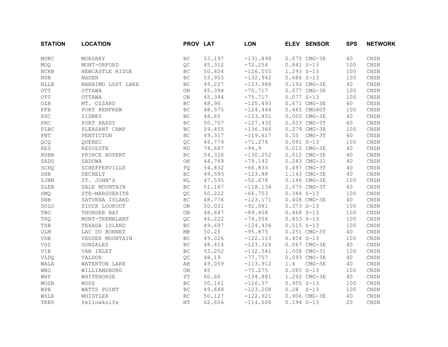| <b>STATION</b>              | <b>LOCATION</b>   | PROV LAT            |        | <b>LON</b> |              | ELEV SENSOR   | <b>SPS</b> | <b>NETWORK</b>           |
|-----------------------------|-------------------|---------------------|--------|------------|--------------|---------------|------------|--------------------------|
| MOBC                        | MORSBEY           | <b>BC</b>           | 53.197 | $-131.898$ |              | 0.675 CMG-3E  | 40         | CNSN                     |
| MOQ                         | MONT-ORFORD       | QC                  | 45.312 | $-72.254$  | $0.841 S-13$ |               | 100        | $\mathop{\mathsf{CNSN}}$ |
| ${\tt NCRB}$                | NEWCASTLE RIDGE   | BC                  | 50.404 | $-126.055$ | 1.293 S-13   |               | 100        | $\mathop{\mathsf{CNSN}}$ |
| <b>NDB</b>                  | NADEN             | $\operatorname{BC}$ | 53.955 | $-132.942$ | $0.686 S-13$ |               | 100        | $\mathop{\mathsf{CNSN}}$ |
| <b>NLLB</b>                 | NANAIMO LOST LAKE | BC                  | 49.227 | $-123.988$ |              | 0.192 CMG-3E  | 40         | $\mathop{\mathsf{CNSN}}$ |
| OTT                         | OTTAWA            | $\mathop{\rm ON}$   | 45.394 | $-75.717$  |              | 0.077 CMG-3R  | 100        | CNSN                     |
| OTT                         | OTTAWA            | $\mathop{\rm ON}$   | 45.394 | $-75.717$  | $0.077 S-13$ |               | 100        | $\mathop{\mathsf{CNSN}}$ |
| OZB                         | MT. OZZARD        | <b>BC</b>           | 48.96  | $-125.493$ |              | 0.671 CMG-3E  | 40         | CNSN                     |
| PFB                         | PORT RENFREW      | BC                  | 48.575 | $-124.444$ |              | 0.465 CMG40T  | 100        | CNSN                     |
| $_{\rm PGC}$                | SIDNEY            | $\operatorname{BC}$ | 48.65  | $-123.451$ |              | 0.005 CMG-3E  | 40         | $\mathop{\mathsf{CNSN}}$ |
| $_{\rm PHC}$                | PORT HARDY        | $\operatorname{BC}$ | 50.707 | $-127.432$ |              | 0.033 CMG-3T  | 40         | $\mathop{\mathsf{CNSN}}$ |
| PLBC                        | PLEASANT CAMP     | $\operatorname{BC}$ | 59.455 | $-136.366$ |              | 0.279 CMG-3R  | 100        | CNSN                     |
| $\mathop{\rm PNT}\nolimits$ | PENTICTON         | $\operatorname{BC}$ | 49.317 | $-119.617$ |              | $0.55$ CMG-3T | 40         | $\mathop{\mathsf{CNSN}}$ |
| QCQ                         | OUEBEC            | QC                  | 46.779 | $-71.276$  | $0.091 S-13$ |               | 100        | CNSN                     |
| <b>RES</b>                  | RESOLUTE          | NU                  | 74.687 | $-94.9$    |              | 0.015 CMG-3E  | 40         | CNSN                     |
| <b>RUBB</b>                 | PRINCE RUPERT     | BC                  | 54.326 | $-130.252$ |              | 0.012 CMG-3E  | 40         | $\mathop{\mathsf{CNSN}}$ |
| SADO                        | SADOWA            | $\mathop{\rm ON}$   | 44.769 | $-79.142$  |              | 0.243 CMG-3I  | 40         | CNSN                     |
| SCHQ                        | SCHEFFERVILLE     | PQ                  | 54.832 | $-66.833$  |              | 0.497 CMG-3T  | 40         | $\mathop{\mathsf{CNSN}}$ |
| SHB                         | SECHELT           | $\operatorname{BC}$ | 49.593 | $-123.88$  |              | 1.143 CMG-3E  | 40         | $\mathop{\mathsf{CNSN}}$ |
| SJNN                        | ST. JOHN'S        | NL                  | 47.595 | $-52.678$  |              | 0.146 CMG-3E  | 100        | $\mathop{\mathsf{CNSN}}$ |
| SLEB                        | SALE MOUNTAIN     | BC                  | 51.167 | $-118.134$ |              | 2.075 CMG-3T  | 40         | $\mathop{\mathsf{CNSN}}$ |
| SMQ                         | STE-MARGUERITE    | QC                  | 50.222 | $-66.703$  | $0.344 S-13$ |               | 100        | CNSN                     |
| SNB                         | SATURNA ISLAND    | BC                  | 48.776 | $-123.171$ |              | 0.408 CMG-3E  | 40         | CNSN                     |
| SOLO                        | SIOUX LOOKOUT     | $\mathop{\rm ON}$   | 50.021 | $-92.081$  | $0.373 S-13$ |               | 100        | $\mathop{\mathsf{CNSN}}$ |
| TBO                         | THUNDER BAY       | ON                  | 48.647 | $-89.408$  | $0.468 S-13$ |               | 100        | CNSN                     |
| TRQ                         | MONT-TREMBLANT    | QC                  | 46.222 | $-74.556$  | $0.853 S-13$ |               | 100        | CNSN                     |
| TXB                         | TEXADA ISLAND     | <b>BC</b>           | 49.697 | $-124.436$ | $0.515 S-13$ |               | 100        | CNSN                     |
| ULM                         | LAC DU BONNET     | МB                  | 50.25  | $-95.875$  |              | 0.251 CMG-3T  | 40         | CNSN                     |
| <b>VDB</b>                  | VEDDER MOUNTAIN   | $\operatorname{BC}$ | 49.026 | $-122.103$ | $0.404 S-13$ |               | 100        | $\mathop{\mathsf{CNSN}}$ |
| ${\rm V} {\rm G} {\rm Z}$   | GONZALES          | $\operatorname{BC}$ | 48.414 | $-123.324$ |              | 0.067 CMG-3E  | 40         | CNSN                     |
| VIB                         | VAN INLET         | <b>BC</b>           | 53.252 | $-132.541$ |              | 1.008 CMG-3I  | 100        | $\mathop{\mathsf{CNSN}}$ |
| <b>VLDQ</b>                 | VALDOR            | QC                  | 48.19  | $-77.757$  |              | 0.093 CMG-3R  | 40         | $\mathop{\mathsf{CNSN}}$ |
| WALA                        | WATERTON LAKE     | AB                  | 49.059 | $-113.912$ | 1.4          | $CMG-3E$      | 40         | CNSN                     |
| <b>WBO</b>                  | WILLIAMSBURG      | $\mathop{\rm ON}$   | 45     | $-75.275$  | $0.085 S-13$ |               | 100        | CNSN                     |
| WHY                         | WHITEHORSE        | ΥT                  | 60.66  | $-134.881$ |              | 1.292 CMG-3E  | 40         | $\mathop{\mathsf{CNSN}}$ |
| WOSB                        | WOSS              | <b>BC</b>           | 50.161 | $-126.57$  | $0.955 S-13$ |               | 100        | CNSN                     |
| WPB                         | WATTS POINT       | $\operatorname{BC}$ | 49.648 | $-123.208$ | $0.28 S-13$  |               | 100        | CNSN                     |
| WSLR                        | WHISTLER          | <b>BC</b>           | 50.127 | $-122.921$ |              | 0.906 CMG-3E  | 40         | CNSN                     |
| YKB0                        | Yellowknife       | NΤ                  | 62.606 | $-114.606$ | $0.194 S-13$ |               | 20         | CNSN                     |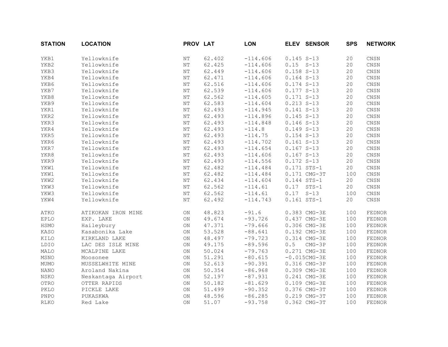| <b>STATION</b> | <b>LOCATION</b>    | PROV LAT          |        | <b>LON</b> |                | ELEV SENSOR    | <b>SPS</b> | <b>NETWORK</b>           |
|----------------|--------------------|-------------------|--------|------------|----------------|----------------|------------|--------------------------|
| YKB1           | Yellowknife        | NΤ                | 62.402 | $-114.606$ | $0.145 S - 13$ |                | 20         | CNSN                     |
| YKB2           | Yellowknife        | $\rm{N}\rm{T}$    | 62.425 | $-114.606$ | $0.15 S-13$    |                | 20         | CNSN                     |
| YKB3           | Yellowknife        | $\rm{N}\rm{T}$    | 62.449 | $-114.606$ | $0.158 S-13$   |                | 20         | CNSN                     |
| YKB4           | Yellowknife        | $\rm{N}\rm{T}$    | 62.471 | $-114.606$ | $0.164 S-13$   |                | 20         | CNSN                     |
| YKB6           | Yellowknife        | $\rm{N}\rm{T}$    | 62.516 | $-114.606$ | $0.174 S-13$   |                | 20         | $\mathop{\mathsf{CNSN}}$ |
| YKB7           | Yellowknife        | $\rm{N}\rm{T}$    | 62.539 | $-114.606$ | $0.177 S-13$   |                | 20         | CNSN                     |
| YKB8           | Yellowknife        | $\rm{N}\rm{T}$    | 62.562 | $-114.605$ | $0.171 S-13$   |                | 20         | CNSN                     |
| YKB9           | Yellowknife        | $\rm{N}\rm{T}$    | 62.583 | $-114.604$ | $0.213 S-13$   |                | 20         | CNSN                     |
| YKR1           | Yellowknife        | $\rm{N}\rm{T}$    | 62.493 | $-114.945$ | $0.141 S-13$   |                | 20         | CNSN                     |
| YKR2           | Yellowknife        | $\rm{NT}$         | 62.493 | $-114.896$ | $0.145 S - 13$ |                | 20         | CNSN                     |
| YKR3           | Yellowknife        | <b>NT</b>         | 62.493 | $-114.848$ | $0.146 S-13$   |                | 20         | CNSN                     |
| YKR4           | Yellowknife        | $\rm{N}\rm{T}$    | 62.493 | $-114.8$   | $0.149 S-13$   |                | 20         | CNSN                     |
| YKR5           | Yellowknife        | $\rm{NT}$         | 62.493 | $-114.75$  | $0.154 S-13$   |                | 20         | CNSN                     |
| YKR6           | Yellowknife        | $\rm{N}\rm{T}$    | 62.493 | $-114.702$ | $0.161 S-13$   |                | 20         | CNSN                     |
| YKR7           | Yellowknife        | $\rm{N}\rm{T}$    | 62.493 | $-114.654$ | $0.167 S-13$   |                | 20         | CNSN                     |
| YKR8           | Yellowknife        | <b>NT</b>         | 62.493 | $-114.606$ | $0.167 S-13$   |                | 20         | CNSN                     |
| YKR9           | Yellowknife        | $\rm{N}\rm{T}$    | 62.493 | $-114.556$ | $0.172 S-13$   |                | 20         | CNSN                     |
| YKW1           | Yellowknife        | $\rm{N}\rm{T}$    | 62.482 | $-114.484$ |                | $0.171$ STS-1  | 20         | CNSN                     |
| YKW1           | Yellowknife        | $\rm{N}\rm{T}$    | 62.482 | $-114.484$ |                | 0.171 CMG-3T   | 100        | CNSN                     |
| YKW2           | Yellowknife        | NΤ                | 62.434 | $-114.604$ |                | 0.144 STS-1    | 20         | CNSN                     |
| YKW3           | Yellowknife        | $\rm{N}\rm{T}$    | 62.562 | $-114.61$  | 0.17           | $STS-1$        | 20         | $\mathop{\mathsf{CNSN}}$ |
| YKW3           | Yellowknife        | $\rm{N}\rm{T}$    | 62.562 | $-114.61$  | 0.17           | $S-13$         | 100        | CNSN                     |
| YKW4           | Yellowknife        | $\rm{N}\rm{T}$    | 62.492 | $-114.743$ |                | 0.161 STS-1    | 20         | CNSN                     |
| ATKO           | ATIKOKAN IRON MINE | ON                | 48.823 | $-91.6$    |                | 0.383 CMG-3E   | 100        | FEDNOR                   |
| EPLO           | EXP. LAKE          | $\mathsf{ON}$     | 49.674 | $-93.726$  |                | 0.437 CMG-3E   | 100        | FEDNOR                   |
| HSMO           | Haileybury         | ON                | 47.371 | $-79.666$  |                | 0.306 CMG-3E   | 100        | FEDNOR                   |
| KASO           | Kasabonika Lake    | ON                | 53.528 | $-88.641$  |                | 0.192 CMG-3E   | 100        | FEDNOR                   |
| KILO           | KIRKLAND LAKE      | <b>ON</b>         | 48.497 | $-79.723$  |                | 0.314 CMG-3E   | 100        | FEDNOR                   |
| LDIO           | LAC DES ISLE MINE  | ON                | 49.175 | $-89.596$  | 0.5            | $CMG-3P$       | 100        | FEDNOR                   |
| MALO           | MCALPINE LAKE      | $\mathop{\rm ON}$ | 50.024 | $-79.763$  |                | 0.271 CMG-3E   | 100        | FEDNOR                   |
| MSNO           | Moosonee           | ON                | 51.291 | $-80.615$  |                | $-0.015CMG-3E$ | 100        | FEDNOR                   |
| MUMO           | MUSSELWHITE MINE   | ON                | 52.613 | $-90.391$  |                | 0.316 CMG-3P   | 100        | FEDNOR                   |
| <b>NANO</b>    | Aroland Nakina     | $\mathsf{ON}$     | 50.354 | $-86.968$  |                | 0.309 CMG-3E   | 100        | FEDNOR                   |
| <b>NSKO</b>    | Neskantaga Airport | ON                | 52.197 | $-87.931$  |                | 0.241 CMG-3E   | 100        | FEDNOR                   |
| OTRO           | OTTER RAPIDS       | ON                | 50.182 | $-81.629$  |                | 0.109 CMG-3E   | 100        | FEDNOR                   |
| PKLO           | PICKLE LAKE        | ON                | 51.499 | $-90.352$  |                | 0.376 CMG-3T   | 100        | FEDNOR                   |
| PNPO           | PUKASKWA           | ON                | 48.596 | $-86.285$  |                | 0.219 CMG-3T   | 100        | FEDNOR                   |
| <b>RLKO</b>    | Red Lake           | ON                | 51.07  | $-93.758$  |                | 0.362 CMG-3T   | 100        | FEDNOR                   |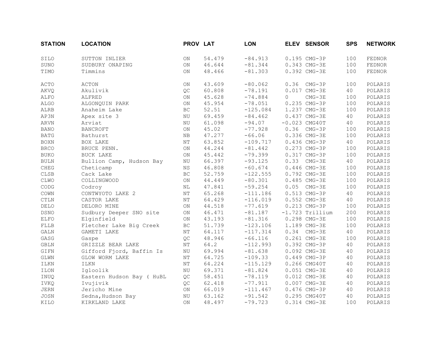| <b>STATION</b>  | <b>LOCATION</b>           | PROV LAT          |        | <b>LON</b> |          | ELEV SENSOR       | <b>SPS</b> | <b>NETWORK</b> |
|-----------------|---------------------------|-------------------|--------|------------|----------|-------------------|------------|----------------|
| SILO            | SUTTON INLIER             | ON                | 54.479 | $-84.913$  |          | 0.195 CMG-3P      | 100        | FEDNOR         |
| SUNO            | SUDBURY ONAPING           | ON                | 46.644 | $-81.344$  |          | 0.343 CMG-3E      | 100        | FEDNOR         |
| TIMO            | Timmins                   | ON                | 48.466 | $-81.303$  |          | 0.392 CMG-3E      | 100        | FEDNOR         |
| ACTO            | ACTON                     | $\mathop{\rm ON}$ | 43.609 | $-80.062$  | 0.36     | $CMG-3P$          | 100        | POLARIS        |
| <b>AKVQ</b>     | Akulivik                  | QC                | 60.808 | $-78.191$  |          | 0.017 CMG-3E      | 40         | POLARIS        |
| ALFO            | ALFRED                    | ON                | 45.628 | $-74.884$  | $\Omega$ | $CMG-3E$          | 100        | POLARIS        |
| ALGO            | ALGONQUIN PARK            | ON                | 45.954 | $-78.051$  |          | 0.235 CMG-3P      | 100        | POLARIS        |
| ALRB            | Anaheim Lake              | <b>BC</b>         | 52.51  | $-125.084$ |          | 1.237 CMG-3E      | 100        | POLARIS        |
| AP3N            | Apex site 3               | NU                | 69.459 | $-84.462$  |          | 0.437 CMG-3E      | 40         | POLARIS        |
| ARVN            | Arviat                    | NU                | 61.098 | $-94.07$   |          | $-0.023$ CMG40T   | 40         | POLARIS        |
| <b>BANO</b>     | <b>BANCROFT</b>           | ON                | 45.02  | $-77.928$  |          | $0.36$ CMG-3P     | 100        | POLARIS        |
| $\mathtt{BATG}$ | Bathurst                  | NB                | 47.277 | $-66.06$   |          | 0.336 CMG-3E      | 100        | POLARIS        |
| <b>BOXN</b>     | BOX LAKE                  | $\rm{N}\rm{T}$    | 63.852 | $-109.717$ |          | 0.436 CMG-3P      | 40         | POLARIS        |
| <b>BRCO</b>     | BRUCE PENN.               | $\mathop{\rm ON}$ | 44.244 | $-81.442$  |          | 0.273 CMG-3P      | 100        | POLARIS        |
| <b>BUKO</b>     | <b>BUCK LAKE</b>          | ON                | 45.442 | $-79.399$  |          | 0.317 CMG-3P      | 100        | POLARIS        |
| <b>BULN</b>     | Bullion Camp, Hudson Bay  | $\rm N U$         | 66.397 | $-93.125$  | 0.33     | $CMG-3E$          | 40         | POLARIS        |
| ${\tt CHEG}$    | Cheticamp                 | <b>NS</b>         | 46.808 | $-60.674$  |          | 0.446 CMG-3E      | 100        | POLARIS        |
| CLSB            | Cack Lake                 | BC                | 52.759 | $-122.555$ |          | 0.792 CMG-3E      | 100        | POLARIS        |
| CLWO            | COLLINGWOOD               | ON                | 44.449 | $-80.301$  |          | 0.485 CMG-3E      | 100        | POLARIS        |
| $\mathsf{CODE}$ | Codroy                    | NL                | 47.841 | $-59.254$  | 0.05     | $CMG-3E$          | 100        | POLARIS        |
| COWN            | CONTWYOTO LAKE 2          | ΝT                | 65.268 | $-111.186$ |          | 0.513 CMG-3P      | 40         | POLARIS        |
| <b>CTLN</b>     | CASTOR LAKE               | NΤ                | 64.429 | $-116.019$ |          | 0.552 CMG-3E      | 40         | POLARIS        |
| DELO            | DELORO MINE               | ON                | 44.518 | $-77.619$  |          | 0.213 CMG-3P      | 100        | POLARIS        |
| DSNO            | Sudbury Deeper SNO site   | ON                | 46.471 | $-81.187$  |          | $-1.723$ Trillium | 200        | POLARIS        |
| ELFO            | Elginfield                | $\mathop{\rm ON}$ | 43.193 | $-81.316$  |          | 0.298 CMG-3E      | 100        | POLARIS        |
| FLLB            | Fletcher Lake Big Creek   | BC                | 51.739 | $-123.106$ |          | 1.189 CMG-3E      | 100        | POLARIS        |
| GALN            | GAMETI LAKE               | NΤ                | 64.117 | $-117.314$ | 0.34     | $CMG-3E$          | 40         | POLARIS        |
| GASG            | Gaspe                     | QC                | 48.946 | $-66.116$  |          | 0.261 CMG-3E      | 100        | POLARIS        |
| GBLN            | GRIZZLE BEAR LAKE         | $\rm{N}\rm{T}$    | 64.2   | $-112.993$ |          | 0.392 CMG-3P      | 40         | POLARIS        |
| GIFN            | Gifford Fjord, Baffin Is  | $\rm N U$         | 69.994 | $-81.638$  |          | 0.092 CMG-3E      | 40         | POLARIS        |
| GLWN            | GLOW WORM LAKE            | ΝT                | 64.725 | $-109.33$  |          | 0.449 CMG-3P      | 40         | POLARIS        |
| ILKN            | <b>ILKN</b>               | $\rm{N}\rm{T}$    | 64.224 | $-115.129$ |          | 0.266 CMG40T      | 40         | POLARIS        |
| ILON            | Igloolik                  | NU                | 69.371 | $-81.824$  |          | 0.051 CMG-3E      | 40         | POLARIS        |
| INUQ            | Eastern Hudson Bay ( HuBL | QC                | 58.451 | $-78.119$  |          | 0.012 CMG-3E      | 40         | POLARIS        |
| IVKQ            | Ivujivik                  | QC                | 62.418 | $-77.911$  |          | 0.007 CMG-3E      | 40         | POLARIS        |
| JERN            | Jericho Mine              | $\mathop{\rm ON}$ | 66.019 | $-111.467$ |          | 0.476 CMG-3P      | 40         | POLARIS        |
| JOSN            | Sedna, Hudson Bay         | NU                | 63.162 | $-91.542$  |          | 0.295 CMG40T      | 40         | POLARIS        |
| KILO            | KIRKLAND LAKE             | ON                | 48.497 | $-79.723$  |          | $0.314$ CMG-3E    | 100        | POLARIS        |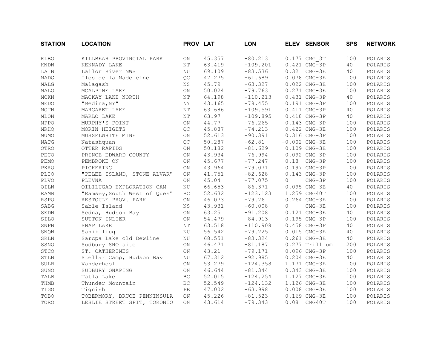| <b>STATION</b>  | <b>LOCATION</b>              | PROV LAT            |        | <b>LON</b> |          | ELEV SENSOR     | <b>SPS</b> | <b>NETWORK</b> |
|-----------------|------------------------------|---------------------|--------|------------|----------|-----------------|------------|----------------|
| KLBO            | KILLBEAR PROVINCIAL PARK     | ON.                 | 45.357 | $-80.213$  |          | 0.177 CMG 3T    | 100        | POLARIS        |
| <b>KNDN</b>     | KENNADY LAKE                 | NT                  | 63.419 | $-109.201$ |          | 0.421 CMG-3P    | 40         | POLARIS        |
| LAIN            | Lailor River NWS             | NU                  | 69.109 | $-83.536$  |          | $0.32$ CMG-3E   | 40         | POLARIS        |
| MADG            | Iles de la Madeleine         | QC                  | 47.275 | $-61.689$  |          | 0.078 CMG-3E    | 100        | POLARIS        |
| MALG            | Malagash                     | NS.                 | 45.79  | $-63.327$  |          | 0.022 CMG-3E    | 100        | POLARIS        |
| MALO            | MCALPINE LAKE                | <b>ON</b>           | 50.024 | $-79.763$  |          | 0.271 CMG-3E    | 100        | POLARIS        |
| $\texttt{MCKN}$ | MACKAY LAKE NORTH            | $\rm{N}\rm{T}$      | 64.198 | $-110.213$ |          | 0.431 CMG-3P    | 40         | POLARIS        |
| MEDO            | "Medina, NY"                 | ΝY                  | 43.165 | $-78.455$  |          | 0.191 CMG-3P    | 100        | POLARIS        |
| MGTN            | MARGARET LAKE                | ΝT                  | 63.686 | $-109.591$ |          | 0.411 CMG-3P    | 40         | POLARIS        |
| MLON            | MARLO LAKE                   | NΤ                  | 63.97  | $-109.895$ |          | 0.418 CMG-3P    | 40         | POLARIS        |
| MPPO            | MURPHY'S POINT               | <b>ON</b>           | 44.77  | $-76.265$  |          | 0.143 CMG-3P    | 100        | POLARIS        |
| MRHQ            | MORIN HEIGHTS                | QC                  | 45.887 | $-74.213$  |          | 0.422 CMG-3E    | 100        | POLARIS        |
| MUMO            | MUSSELWHITE MINE             | ON                  | 52.613 | $-90.391$  |          | 0.316 CMG-3P    | 100        | POLARIS        |
| <b>NATG</b>     | Natashquan                   | QC                  | 50.287 | $-62.81$   |          | $-0.002$ CMG-3E | 100        | POLARIS        |
| OTRO            | OTTER RAPIDS                 | ON                  | 50.182 | $-81.629$  |          | 0.109 CMG-3E    | 100        | POLARIS        |
| PECO            | PRINCE EDWARD COUNTY         | ON                  | 43.934 | $-76.994$  |          | 0.092 CMG-3P    | 100        | POLARIS        |
| PEMO            | PEMBROKE ON                  | <b>ON</b>           | 45.677 | $-77.247$  | 0.18     | $CMG-3P$        | 100        | POLARIS        |
| PKRO            | PICKERING                    | $\mathop{\rm ON}$   | 43.964 | $-79.071$  |          | 0.197 CMG-3P    | 100        | POLARIS        |
| PLIO            | "PELEE ISLAND, STONE ALVAR"  | <b>ON</b>           | 41.751 | $-82.628$  |          | 0.143 CMG-3P    | 100        | POLARIS        |
| PLVO            | PLEVNA                       | ON                  | 45.04  | $-77.075$  | $\Omega$ | $CMG-3P$        | 100        | POLARIS        |
| QILN            | OILILUGAO EXPLORATION CAM    | NU                  | 66.653 | $-86.371$  |          | 0.095 CMG-3E    | 40         | POLARIS        |
| RAMB            | "Ramsey, South West of Ques" | BC                  | 52.632 | $-123.123$ |          | 1.259 CMG40T    | 100        | POLARIS        |
| <b>RSPO</b>     | RESTOULE PROV. PARK          | ON                  | 46.073 | $-79.76$   |          | 0.264 CMG-3E    | 100        | POLARIS        |
| SABG            | Sable Island                 | NS.                 | 43.931 | $-60.008$  | $\Omega$ | $CMG-3E$        | 100        | POLARIS        |
| SEDN            | Sedna, Hudson Bay            | ON                  | 63.25  | $-91.208$  |          | 0.121 CMG-3E    | 40         | POLARIS        |
| SILO            | SUTTON INLIER                | ON                  | 54.479 | $-84.913$  |          | 0.195 CMG-3P    | 100        | POLARIS        |
| SNPN            | SNAP LAKE                    | ΝT                  | 63.518 | $-110.908$ |          | 0.458 CMG-3P    | 40         | POLARIS        |
| SNQN            | Sanikiliuq                   | NU                  | 56.542 | $-79.225$  |          | 0.015 CMG-3E    | 40         | POLARIS        |
| SRLN            | Sarcpa Lake old Dewline      | NU                  | 68.551 | $-83.324$  |          | 0.261 CMG-3E    | 40         | POLARIS        |
| SSNO            | Sudbury SNO site             | ON                  | 46.471 | $-81.187$  |          | 0.277 Trillium  | 200        | POLARIS        |
| <b>STCO</b>     | ST. CATHERINES               | <b>ON</b>           | 43.21  | $-79.171$  |          | 0.096 CMG-3P    | 100        | POLARIS        |
| STLN            | Stellar Camp, Hudson Bay     | NU                  | 67.312 | $-92.985$  |          | $0.204$ CMG-3E  | 40         | POLARIS        |
| <b>SULB</b>     | Vanderhoof                   | ON                  | 53.279 | $-124.358$ |          | 1.171 CMG-3E    | 100        | POLARIS        |
| SUNO            | SUDBURY ONAPING              | ON                  | 46.644 | $-81.344$  |          | 0.343 CMG-3E    | 100        | POLARIS        |
| TALB            | Tatla Lake                   | ВC                  | 52.015 | $-124.254$ |          | 1.127 CMG-3E    | 100        | POLARIS        |
| THMB            | Thunder Mountain             | $\operatorname{BC}$ | 52.549 | $-124.132$ |          | 1.126 CMG-3E    | 100        | POLARIS        |
| TIGG            | Tignish                      | PE                  | 47.002 | $-63.998$  |          | 0.008 CMG-3E    | 100        | POLARIS        |
| TOBO            | TOBERMORY, BRUCE PENNINSULA  | ON                  | 45.226 | $-81.523$  |          | 0.169 CMG-3E    | 100        | POLARIS        |
| TORO            | LESLIE STREET SPIT, TORONTO  | ON                  | 43.614 | $-79.343$  | 0.08     | CMG40T          | 100        | POLARIS        |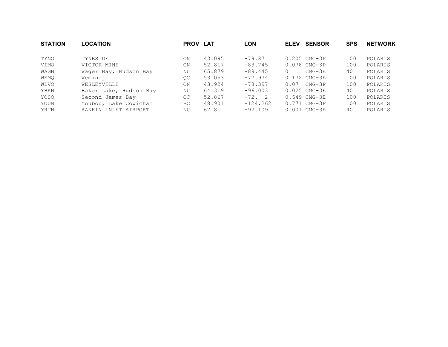| <b>STATION</b> | <b>LOCATION</b>        | <b>PROV LAT</b> |        | <b>LON</b> | <b>ELEV</b> | <b>SENSOR</b>            | <b>SPS</b> | <b>NETWORK</b> |
|----------------|------------------------|-----------------|--------|------------|-------------|--------------------------|------------|----------------|
| TYNO           | TYNESIDE               | ON              | 43.095 | $-79.87$   |             | $0.205$ CMG-3P           | 100        | POLARIS        |
| VIMO           | VICTOR MINE            | ON              | 52.817 | $-83.745$  |             | $0.078$ CMG-3P           | 100        | POLARIS        |
| WAGN           | Wager Bay, Hudson Bay  | ΝU              | 65.879 | $-89.445$  | $\Omega$    | $CMG-3E$                 | 40         | POLARIS        |
| WEMO           | Wemindji               | QC              | 53.053 | $-77.974$  |             | $0.172$ CMG-3E           | 100        | POLARIS        |
| WLVO           | WESLEYVILLE            | ON              | 43.924 | $-78.397$  | 0.07        | CMG-3P                   | 100        | POLARIS        |
| YBKN           | Baker Lake, Hudson Bay | ΝU              | 64.319 | $-96.003$  |             | $0.025$ CMG-3E           | 40         | POLARIS        |
| YOSQ           | Second James Bay       | OC              | 52.867 | $-72.2$    |             | $0.649$ CMG-3E           | 100        | POLARIS        |
| YOUB           | Youbou, Lake Cowichan  | BC              | 48.901 | $-124.262$ |             | $0.771 \, \text{CMG-3P}$ | 100        | POLARIS        |
| YRTN           | RANKIN INLET AIRPORT   | ΝU              | 62.81  | $-92.109$  |             | $0.001$ CMG-3E           | 40         | POLARIS        |